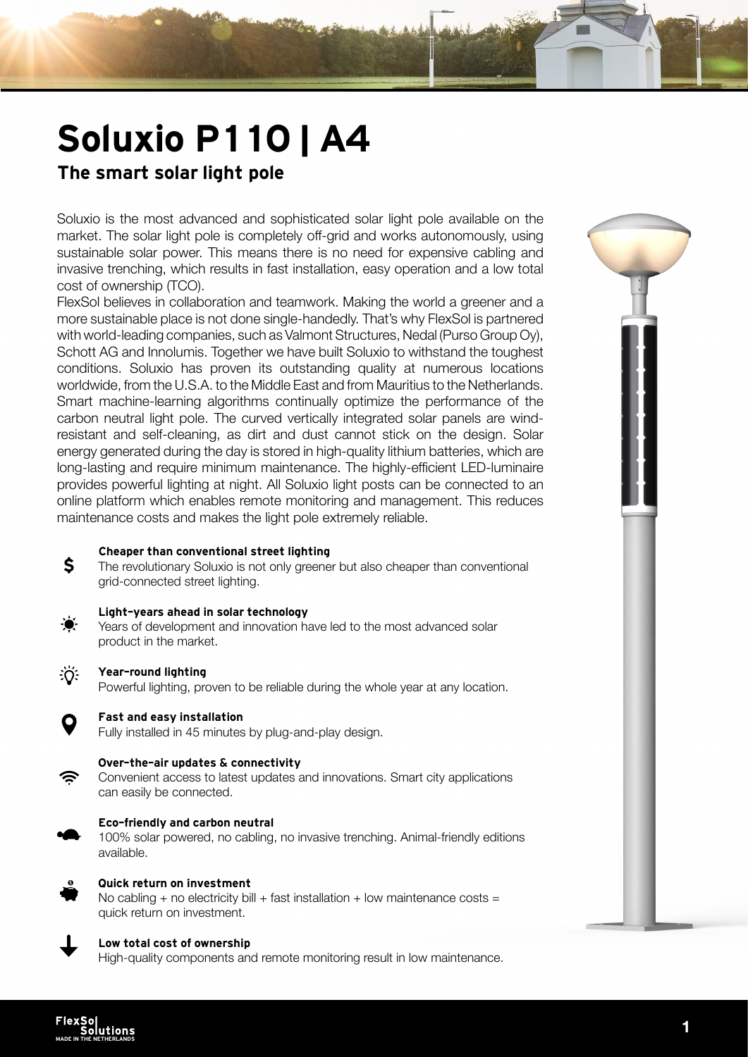# Soluxio P110 | A4

### The smart solar light pole

Soluxio is the most advanced and sophisticated solar light pole available on the market. The solar light pole is completely off-grid and works autonomously, using sustainable solar power. This means there is no need for expensive cabling and invasive trenching, which results in fast installation, easy operation and a low total cost of ownership (TCO).

FlexSol believes in collaboration and teamwork. Making the world a greener and a more sustainable place is not done single-handedly. That's why FlexSol is partnered with world-leading companies, such as Valmont Structures, Nedal (Purso Group Oy), Schott AG and Innolumis. Together we have built Soluxio to withstand the toughest conditions. Soluxio has proven its outstanding quality at numerous locations worldwide, from the U.S.A. to the Middle East and from Mauritius to the Netherlands. Smart machine-learning algorithms continually optimize the performance of the carbon neutral light pole. The curved vertically integrated solar panels are windresistant and self-cleaning, as dirt and dust cannot stick on the design. Solar energy generated during the day is stored in high-quality lithium batteries, which are long-lasting and require minimum maintenance. The highly-efficient LED-luminaire provides powerful lighting at night. All Soluxio light posts can be connected to an online platform which enables remote monitoring and management. This reduces maintenance costs and makes the light pole extremely reliable.

#### Cheaper than conventional street lighting

The revolutionary Soluxio is not only greener but also cheaper than conventional grid-connected street lighting.

#### Light-years ahead in solar technology

Years of development and innovation have led to the most advanced solar product in the market.



\$

#### Year-round lighting

Powerful lighting, proven to be reliable during the whole year at any location.



#### Fast and easy installation

Fully installed in 45 minutes by plug-and-play design.



#### Over-the-air updates & connectivity

Convenient access to latest updates and innovations. Smart city applications can easily be connected.



#### Eco-friendly and carbon neutral

100% solar powered, no cabling, no invasive trenching. Animal-friendly editions available.



### Quick return on investment

No cabling + no electricity bill + fast installation + low maintenance costs = quick return on investment.



#### Low total cost of ownership

High-quality components and remote monitoring result in low maintenance.

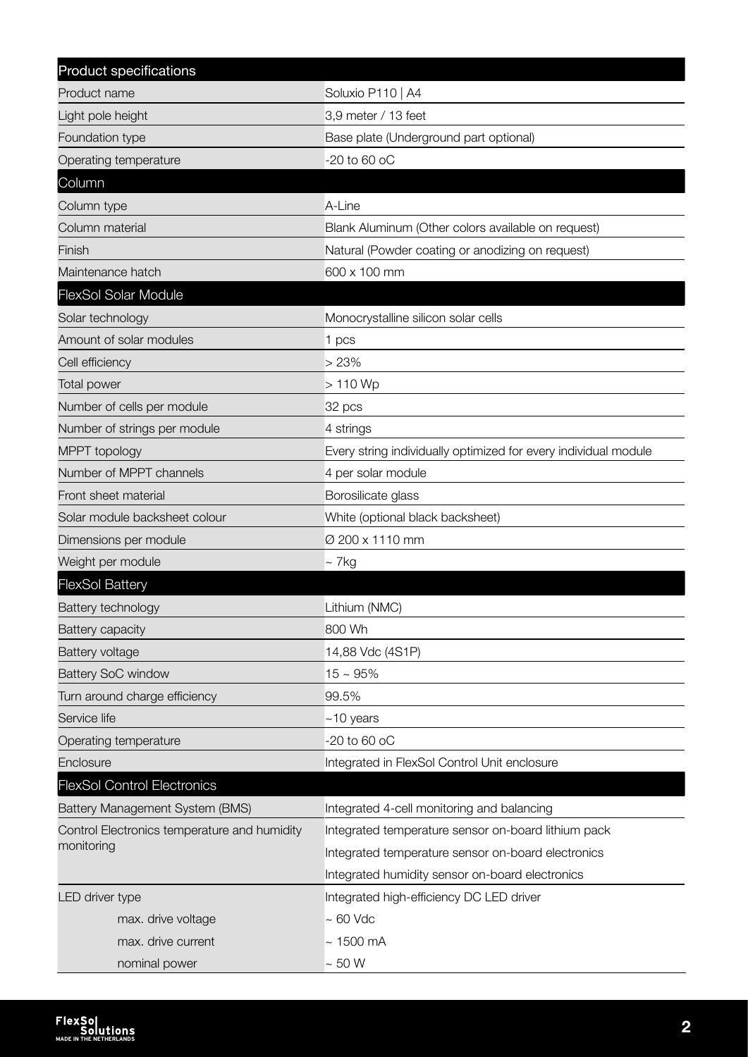| Product specifications                       |                                                                 |  |
|----------------------------------------------|-----------------------------------------------------------------|--|
| Product name                                 | Soluxio P110   A4                                               |  |
| Light pole height                            | 3,9 meter / 13 feet                                             |  |
| Foundation type                              | Base plate (Underground part optional)                          |  |
| Operating temperature                        | -20 to 60 oC                                                    |  |
| Column                                       |                                                                 |  |
| Column type                                  | A-Line                                                          |  |
| Column material                              | Blank Aluminum (Other colors available on request)              |  |
| Finish                                       | Natural (Powder coating or anodizing on request)                |  |
| Maintenance hatch                            | 600 x 100 mm                                                    |  |
| <b>FlexSol Solar Module</b>                  |                                                                 |  |
| Solar technology                             | Monocrystalline silicon solar cells                             |  |
| Amount of solar modules                      | 1 pcs                                                           |  |
| Cell efficiency                              | >23%                                                            |  |
| <b>Total power</b>                           | $>110$ Wp                                                       |  |
| Number of cells per module                   | 32 pcs                                                          |  |
| Number of strings per module                 | 4 strings                                                       |  |
| MPPT topology                                | Every string individually optimized for every individual module |  |
| Number of MPPT channels                      | 4 per solar module                                              |  |
| Front sheet material                         | Borosilicate glass                                              |  |
| Solar module backsheet colour                | White (optional black backsheet)                                |  |
| Dimensions per module                        | Ø 200 x 1110 mm                                                 |  |
| Weight per module                            | $\sim$ 7 kg                                                     |  |
| <b>FlexSol Battery</b>                       |                                                                 |  |
| Battery technology                           | Lithium (NMC)                                                   |  |
| Battery capacity                             | 800 Wh                                                          |  |
| Battery voltage                              | 14,88 Vdc (4S1P)                                                |  |
| <b>Battery SoC window</b>                    | $15 \sim 95\%$                                                  |  |
| Turn around charge efficiency                | 99.5%                                                           |  |
| Service life                                 | $~10$ years                                                     |  |
| Operating temperature                        | $-20$ to 60 oC                                                  |  |
| Enclosure                                    | Integrated in FlexSol Control Unit enclosure                    |  |
| <b>FlexSol Control Electronics</b>           |                                                                 |  |
| Battery Management System (BMS)              | Integrated 4-cell monitoring and balancing                      |  |
| Control Electronics temperature and humidity | Integrated temperature sensor on-board lithium pack             |  |
| monitoring                                   | Integrated temperature sensor on-board electronics              |  |
|                                              | Integrated humidity sensor on-board electronics                 |  |
| LED driver type                              | Integrated high-efficiency DC LED driver                        |  |
| max. drive voltage                           | $\sim 60$ Vdc                                                   |  |
| max. drive current                           | $\sim$ 1500 mA                                                  |  |
| nominal power                                | $\sim 50$ W                                                     |  |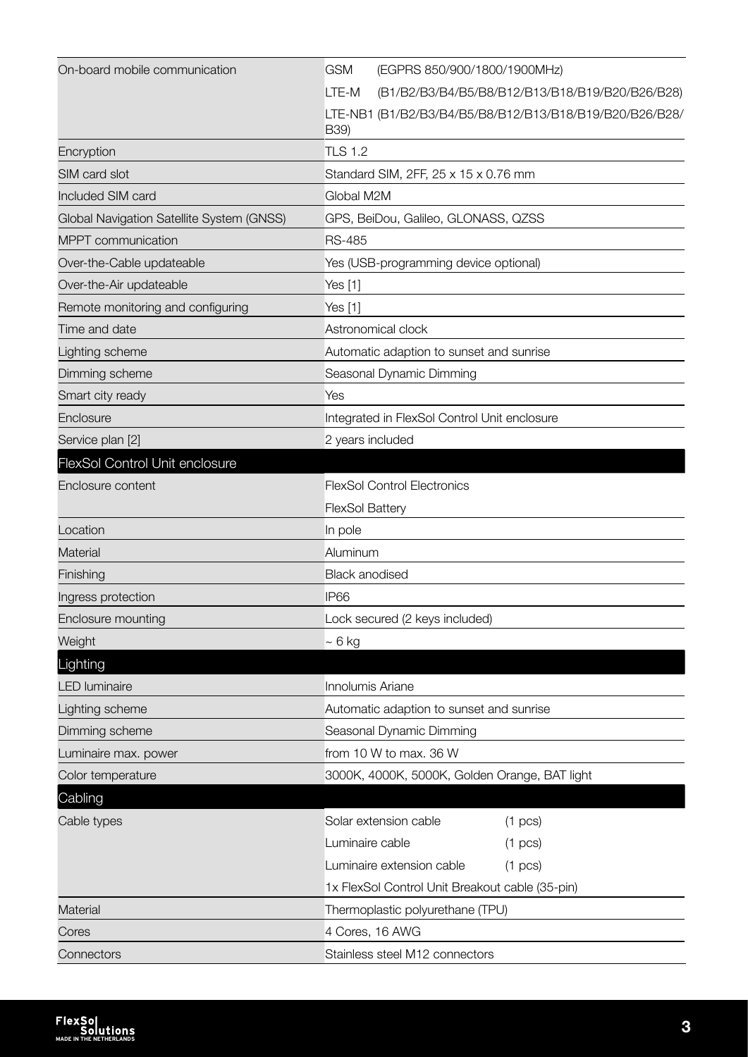| On-board mobile communication             | <b>GSM</b><br>(EGPRS 850/900/1800/1900MHz)                      |  |
|-------------------------------------------|-----------------------------------------------------------------|--|
|                                           | LTE-M<br>(B1/B2/B3/B4/B5/B8/B12/B13/B18/B19/B20/B26/B28)        |  |
|                                           | LTE-NB1 (B1/B2/B3/B4/B5/B8/B12/B13/B18/B19/B20/B26/B28/<br>B39) |  |
| Encryption                                | <b>TLS 1.2</b>                                                  |  |
| SIM card slot                             | Standard SIM, 2FF, 25 x 15 x 0.76 mm                            |  |
| Included SIM card                         | Global M2M                                                      |  |
| Global Navigation Satellite System (GNSS) | GPS, BeiDou, Galileo, GLONASS, QZSS                             |  |
| MPPT communication                        | <b>RS-485</b>                                                   |  |
| Over-the-Cable updateable                 | Yes (USB-programming device optional)                           |  |
| Over-the-Air updateable                   | Yes [1]                                                         |  |
| Remote monitoring and configuring         | Yes [1]                                                         |  |
| Time and date                             | Astronomical clock                                              |  |
| Lighting scheme                           | Automatic adaption to sunset and sunrise                        |  |
| Dimming scheme                            | Seasonal Dynamic Dimming                                        |  |
| Smart city ready                          | Yes                                                             |  |
| Enclosure                                 | Integrated in FlexSol Control Unit enclosure                    |  |
| Service plan [2]                          | 2 years included                                                |  |
| <b>FlexSol Control Unit enclosure</b>     |                                                                 |  |
| Enclosure content                         | <b>FlexSol Control Electronics</b>                              |  |
|                                           | <b>FlexSol Battery</b>                                          |  |
| Location                                  | In pole                                                         |  |
| <b>Material</b>                           | Aluminum                                                        |  |
| Finishing                                 | <b>Black anodised</b>                                           |  |
| Ingress protection                        | IP <sub>66</sub>                                                |  |
| Enclosure mounting                        | Lock secured (2 keys included)                                  |  |
| Weight                                    | $~\sim 6$ kg                                                    |  |
| Lighting                                  |                                                                 |  |
| <b>LED</b> luminaire                      | Innolumis Ariane                                                |  |
| Lighting scheme                           | Automatic adaption to sunset and sunrise                        |  |
| Dimming scheme                            | Seasonal Dynamic Dimming                                        |  |
| Luminaire max. power                      | from 10 W to max. 36 W                                          |  |
| Color temperature                         | 3000K, 4000K, 5000K, Golden Orange, BAT light                   |  |
| Cabling                                   |                                                                 |  |
| Cable types                               | Solar extension cable<br>$(1 \text{ pcs})$                      |  |
|                                           | Luminaire cable<br>$(1 \text{ pcs})$                            |  |
|                                           | Luminaire extension cable<br>$(1 \text{ pcs})$                  |  |
|                                           | 1x FlexSol Control Unit Breakout cable (35-pin)                 |  |
| Material                                  | Thermoplastic polyurethane (TPU)                                |  |
| Cores                                     | 4 Cores, 16 AWG                                                 |  |
| Connectors                                | Stainless steel M12 connectors                                  |  |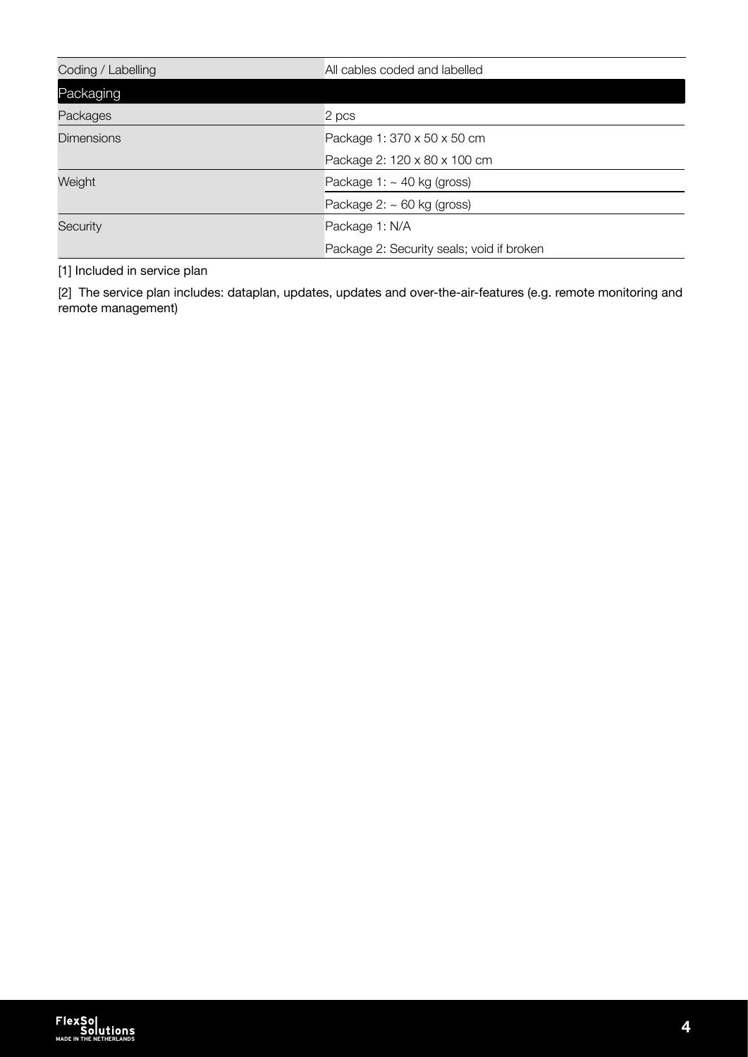| Coding / Labelling | All cables coded and labelled             |
|--------------------|-------------------------------------------|
| Packaging          |                                           |
| Packages           | 2 pcs                                     |
| <b>Dimensions</b>  | Package 1: 370 x 50 x 50 cm               |
|                    | Package 2: 120 x 80 x 100 cm              |
| Weight             | Package 1: $\sim$ 40 kg (gross)           |
|                    | Package $2: \sim 60$ kg (gross)           |
| Security           | Package 1: N/A                            |
|                    | Package 2: Security seals; void if broken |

[1] Included in service plan

[2] The service plan includes: dataplan, updates, updates and over-the-air-features (e.g. remote monitoring and remote management)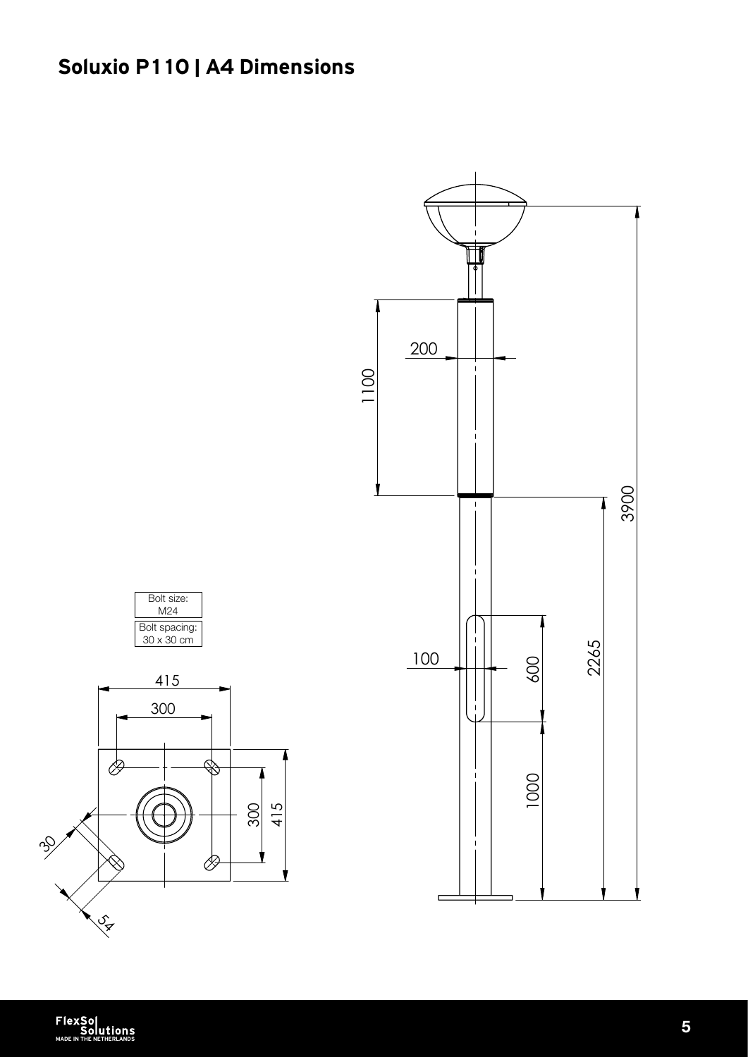# Soluxio P110 | A4 Dimensions



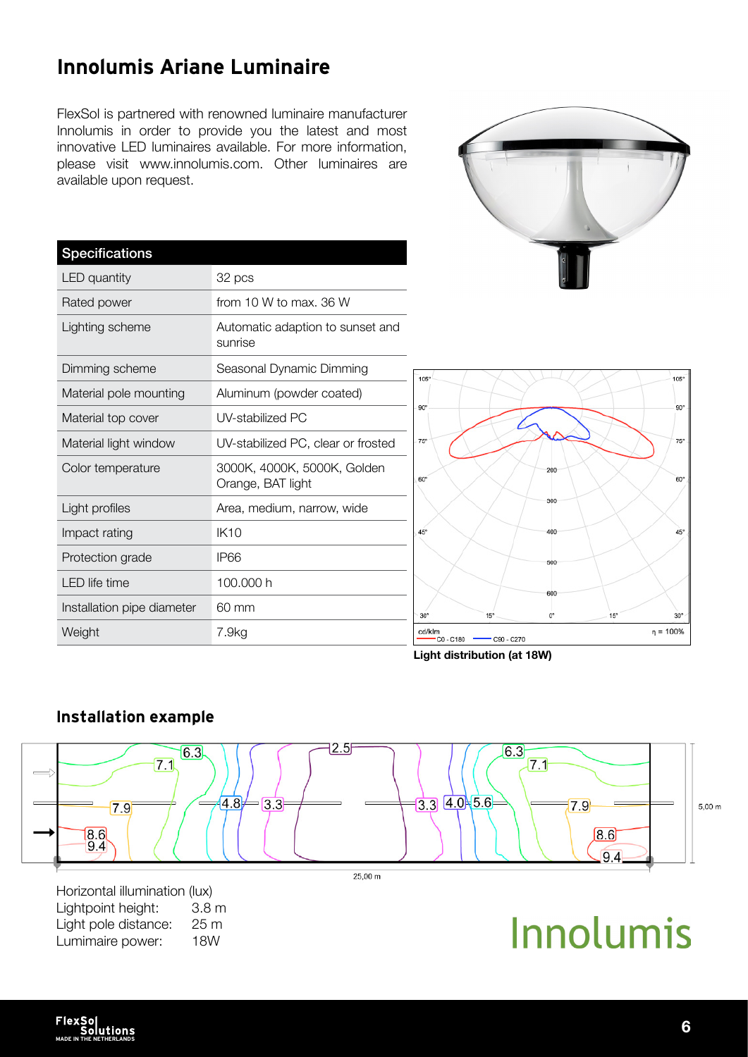Innolumis Ariane Luminaire

FlexSol is partnered with renowned luminaire manufacturer Innolumis in order to provide you the latest and most innovative LED luminaires available. For more information,

| <b>Specifications</b>      |                                                  |
|----------------------------|--------------------------------------------------|
| <b>LED</b> quantity        | 32 pcs                                           |
| Rated power                | from 10 W to max, 36 W                           |
| Lighting scheme            | Automatic adaption to sunset and<br>sunrise      |
| Dimming scheme             | Seasonal Dynamic Dimming                         |
| Material pole mounting     | Aluminum (powder coated)                         |
| Material top cover         | UV-stabilized PC                                 |
| Material light window      | UV-stabilized PC, clear or frosted               |
| Color temperature          | 3000K, 4000K, 5000K, Golden<br>Orange, BAT light |
| Light profiles             | Area, medium, narrow, wide                       |
| Impact rating              | <b>IK10</b>                                      |
| Protection grade           | IP66                                             |
| I FD life time             | 100.000 h                                        |
| Installation pipe diameter | 60 mm                                            |
| Weight                     | 7.9kg                                            |





#### $2.5$  $6.3$  $6.3$  $7.1$  $7.1$  $-3.3$   $4.0 - 5.6$  $(4.8)$  $= 3.3$  $7.9<sup>1</sup>$  $\overline{7.9}$  $5,00 \; m$  $\frac{8.6}{9.4}$  $8.6$ 9.4  $25.00 m$

Horizontal illumination (lux) Lightpoint height: 3.8 m Light pole distance: 25 m Lumimaire power: 18W

Installation example

# Innolumis